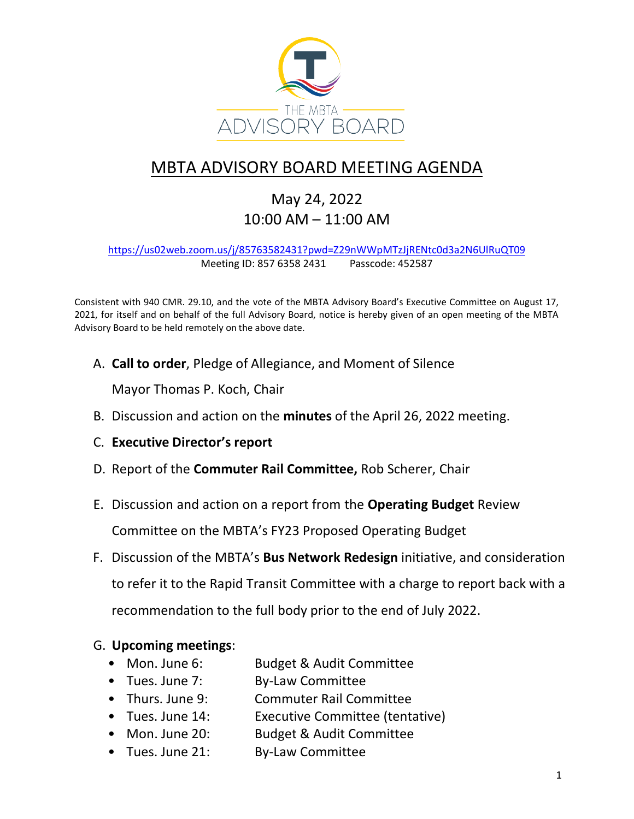

## MBTA ADVISORY BOARD MEETING AGENDA

May 24, 2022 10:00 AM – 11:00 AM

<https://us02web.zoom.us/j/85763582431?pwd=Z29nWWpMTzJjRENtc0d3a2N6UlRuQT09> Meeting ID: 857 6358 2431 Passcode: 452587

Consistent with 940 CMR. 29.10, and the vote of the MBTA Advisory Board's Executive Committee on August 17, 2021, for itself and on behalf of the full Advisory Board, notice is hereby given of an open meeting of the MBTA Advisory Board to be held remotely on the above date.

A. **Call to order**, Pledge of Allegiance, and Moment of Silence

Mayor Thomas P. Koch, Chair

- B. Discussion and action on the **minutes** of the April 26, 2022 meeting.
- C. **Executive Director's report**
- D. Report of the **Commuter Rail Committee,** Rob Scherer, Chair
- E. Discussion and action on a report from the **Operating Budget** Review

Committee on the MBTA's FY23 Proposed Operating Budget

F. Discussion of the MBTA's **Bus Network Redesign** initiative, and consideration to refer it to the Rapid Transit Committee with a charge to report back with a recommendation to the full body prior to the end of July 2022.

## G. **Upcoming meetings**:

- Mon. June 6: Budget & Audit Committee
- Tues. June 7: By-Law Committee
- Thurs. June 9: Commuter Rail Committee
- Tues. June 14: Executive Committee (tentative)
- Mon. June 20: Budget & Audit Committee
- Tues. June 21: By-Law Committee